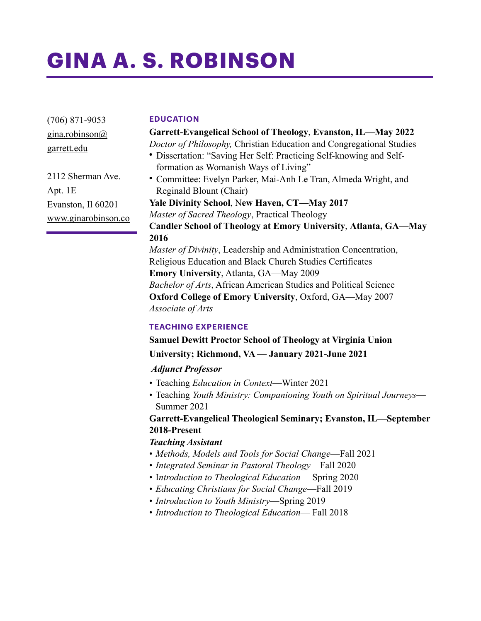# **GINA A. S. ROBINSON**

(706) 871-9053 gina.robinson@ garrett.edu

2112 Sherman Ave. Apt. 1E Evanston, Il 60201 www.ginarobinson.co

#### **EDUCATION**

# **Garrett-Evangelical School of Theology**, **Evanston, IL—May 2022**

*Doctor of Philosophy,* Christian Education and Congregational Studies

- Dissertation: "Saving Her Self: Practicing Self-knowing and Selfformation as Womanish Ways of Living"
- Committee: Evelyn Parker, Mai-Anh Le Tran, Almeda Wright, and Reginald Blount (Chair)

**Yale Divinity School**, N**ew Haven, CT—May 2017** *Master of Sacred Theology*, Practical Theology **Candler School of Theology at Emory University**, **Atlanta, GA—May 2016**  *Master of Divinity*, Leadership and Administration Concentration, Religious Education and Black Church Studies Certificates

**Emory University**, Atlanta, GA—May 2009 *Bachelor of Arts*, African American Studies and Political Science **Oxford College of Emory University**, Oxford, GA—May 2007

*Associate of Arts*

#### **TEACHING EXPERIENCE**

# **Samuel Dewitt Proctor School of Theology at Virginia Union**

**University; Richmond, VA — January 2021-June 2021** 

# *Adjunct Professor*

- Teaching *Education in Context*—Winter 2021
- Teaching *Youth Ministry: Companioning Youth on Spiritual Journeys* Summer 2021

# **Garrett-Evangelical Theological Seminary; Evanston, IL—September 2018-Present**

# *Teaching Assistant*

- *Methods, Models and Tools for Social Change*—Fall 2021
- *Integrated Seminar in Pastoral Theology*—Fall 2020
- I*ntroduction to Theological Education* Spring 2020
- *Educating Christians for Social Change*—Fall 2019
- *Introduction to Youth Ministry*—Spring 2019
- *Introduction to Theological Education* Fall 2018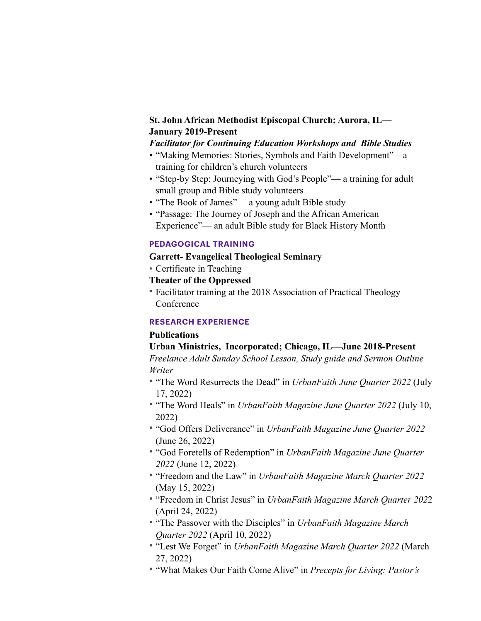# **St. John African Methodist Episcopal Church; Aurora, IL— January 2019-Present**

#### *Facilitator for Continuing Education Workshops and Bible Studies*

- "Making Memories: Stories, Symbols and Faith Development"—a training for children's church volunteers
- "Step-by Step: Journeying with God's People"— a training for adult small group and Bible study volunteers
- "The Book of James"— a young adult Bible study
- "Passage: The Journey of Joseph and the African American Experience"— an adult Bible study for Black History Month

#### **PEDAGOGICAL TRAINING**

- **Garrett- Evangelical Theological Seminary**
- Certificate in Teaching
- **Theater of the Oppressed**
- Facilitator training at the 2018 Association of Practical Theology **Conference**

#### **RESEARCH EXPERIENCE**

#### **Publications**

#### **Urban Ministries, Incorporated; Chicago, IL—June 2018-Present**

*Freelance Adult Sunday School Lesson, Study guide and Sermon Outline Writer*

- *•* "The Word Resurrects the Dead" in *UrbanFaith June Quarter 2022* (July 17, 2022)
- *•* "The Word Heals" in *UrbanFaith Magazine June Quarter 2022* (July 10, 2022)
- *•* "God Offers Deliverance" in *UrbanFaith Magazine June Quarter 2022* (June 26, 2022)
- *•* "God Foretells of Redemption" in *UrbanFaith Magazine June Quarter 2022* (June 12, 2022)
- *•* "Freedom and the Law" in *UrbanFaith Magazine March Quarter 2022* (May 15, 2022)
- *•* "Freedom in Christ Jesus" in *UrbanFaith Magazine March Quarter 202*2 (April 24, 2022)
- *•* "The Passover with the Disciples" in *UrbanFaith Magazine March Quarter 2022* (April 10, 2022)
- *•* "Lest We Forget" in *UrbanFaith Magazine March Quarter 2022* (March 27, 2022)
- *•* "What Makes Our Faith Come Alive" in *Precepts for Living: Pastor's*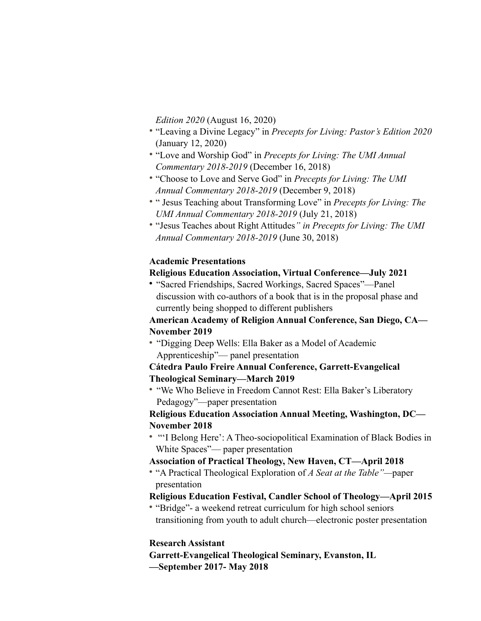*Edition 2020* (August 16, 2020)

- *•* "Leaving a Divine Legacy" in *Precepts for Living: Pastor's Edition 2020* (January 12, 2020)
- *•* "Love and Worship God" in *Precepts for Living: The UMI Annual Commentary 2018-2019* (December 16, 2018)
- *•* "Choose to Love and Serve God" in *Precepts for Living: The UMI Annual Commentary 2018-2019* (December 9, 2018)
- *•* " Jesus Teaching about Transforming Love" in *Precepts for Living: The UMI Annual Commentary 2018-2019* (July 21, 2018)
- *•* "Jesus Teaches about Right Attitudes*" in Precepts for Living: The UMI Annual Commentary 2018-2019* (June 30, 2018)

#### **Academic Presentations**

#### **Religious Education Association, Virtual Conference—July 2021**

• "Sacred Friendships, Sacred Workings, Sacred Spaces"—Panel discussion with co-authors of a book that is in the proposal phase and currently being shopped to different publishers

# **American Academy of Religion Annual Conference, San Diego, CA— November 2019**

• "Digging Deep Wells: Ella Baker as a Model of Academic Apprenticeship"— panel presentation

# **Cátedra Paulo Freire Annual Conference, Garrett-Evangelical Theological Seminary—March 2019**

• "We Who Believe in Freedom Cannot Rest: Ella Baker's Liberatory Pedagogy"—paper presentation

**Religious Education Association Annual Meeting, Washington, DC— November 2018** 

• "'I Belong Here': A Theo-sociopolitical Examination of Black Bodies in White Spaces"— paper presentation

# **Association of Practical Theology, New Haven, CT—April 2018**

• "A Practical Theological Exploration of *A Seat at the Table"—*paper presentation

# **Religious Education Festival, Candler School of Theology—April 2015**

• "Bridge"- a weekend retreat curriculum for high school seniors transitioning from youth to adult church—electronic poster presentation

# **Research Assistant**

**Garrett-Evangelical Theological Seminary, Evanston, IL —September 2017- May 2018**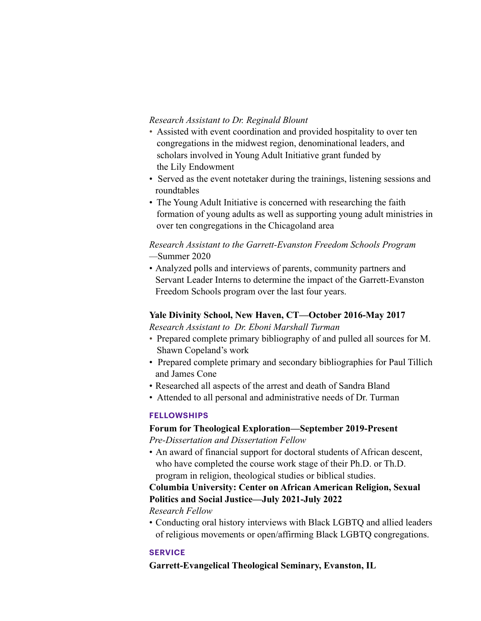#### *Research Assistant to Dr. Reginald Blount*

- Assisted with event coordination and provided hospitality to over ten congregations in the midwest region, denominational leaders, and scholars involved in Young Adult Initiative grant funded by the Lily Endowment
- Served as the event notetaker during the trainings, listening sessions and roundtables
- The Young Adult Initiative is concerned with researching the faith formation of young adults as well as supporting young adult ministries in over ten congregations in the Chicagoland area

#### *Research Assistant to the Garrett-Evanston Freedom Schools Program —*Summer 2020

• Analyzed polls and interviews of parents, community partners and Servant Leader Interns to determine the impact of the Garrett-Evanston Freedom Schools program over the last four years.

#### **Yale Divinity School, New Haven, CT—October 2016-May 2017** *Research Assistant to Dr. Eboni Marshall Turman*

- Prepared complete primary bibliography of and pulled all sources for M. Shawn Copeland's work
- Prepared complete primary and secondary bibliographies for Paul Tillich and James Cone
- Researched all aspects of the arrest and death of Sandra Bland
- Attended to all personal and administrative needs of Dr. Turman

# **FELLOWSHIPS**

#### **Forum for Theological Exploration—September 2019-Present**  *Pre-Dissertation and Dissertation Fellow*

• An award of financial support for doctoral students of African descent, who have completed the course work stage of their Ph.D. or Th.D. program in religion, theological studies or biblical studies.

# **Columbia University: Center on African American Religion, Sexual Politics and Social Justice—July 2021-July 2022**

*Research Fellow* 

• Conducting oral history interviews with Black LGBTQ and allied leaders of religious movements or open/affirming Black LGBTQ congregations.

# **SERVICE**

**Garrett-Evangelical Theological Seminary, Evanston, IL**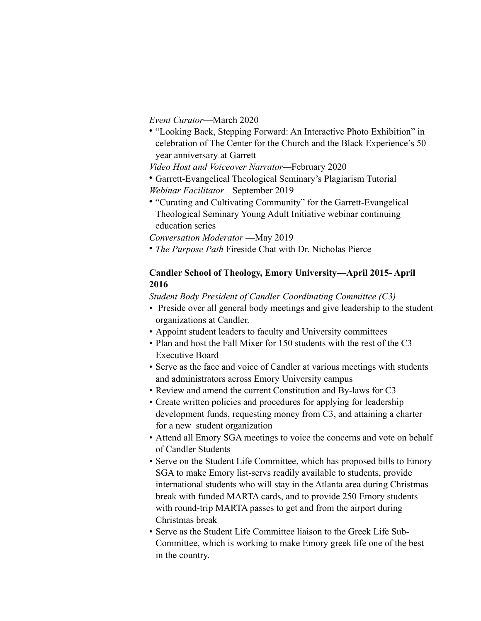*Event Curator*—March 2020

- "Looking Back, Stepping Forward: An Interactive Photo Exhibition" in celebration of The Center for the Church and the Black Experience's 50 year anniversary at Garrett
- *Video Host and Voiceover Narrator—*February 2020
- Garrett-Evangelical Theological Seminary's Plagiarism Tutorial *Webinar Facilitator—*September 2019
- "Curating and Cultivating Community" for the Garrett-Evangelical Theological Seminary Young Adult Initiative webinar continuing education series

*Conversation Moderator* **—**May 2019

• *The Purpose Path* Fireside Chat with Dr. Nicholas Pierce

#### **Candler School of Theology, Emory University—April 2015- April 2016**

*Student Body President of Candler Coordinating Committee (C3)* 

- Preside over all general body meetings and give leadership to the student organizations at Candler.
- Appoint student leaders to faculty and University committees
- Plan and host the Fall Mixer for 150 students with the rest of the C3 Executive Board
- Serve as the face and voice of Candler at various meetings with students and administrators across Emory University campus
- Review and amend the current Constitution and By-laws for C3
- Create written policies and procedures for applying for leadership development funds, requesting money from C3, and attaining a charter for a new student organization
- Attend all Emory SGA meetings to voice the concerns and vote on behalf of Candler Students
- Serve on the Student Life Committee, which has proposed bills to Emory SGA to make Emory list-servs readily available to students, provide international students who will stay in the Atlanta area during Christmas break with funded MARTA cards, and to provide 250 Emory students with round-trip MARTA passes to get and from the airport during Christmas break
- Serve as the Student Life Committee liaison to the Greek Life Sub-Committee, which is working to make Emory greek life one of the best in the country.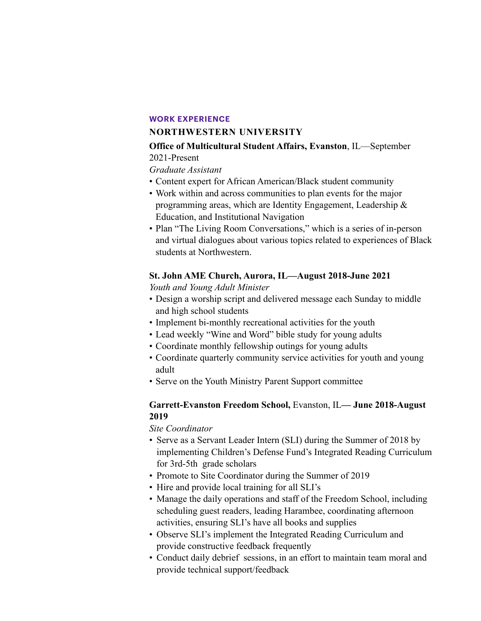#### **WORK EXPERIENCE**

#### **NORTHWESTERN UNIVERSITY**

#### **Office of Multicultural Student Affairs, Evanston**, IL—September 2021-Present

*Graduate Assistant* 

- Content expert for African American/Black student community
- Work within and across communities to plan events for the major programming areas, which are Identity Engagement, Leadership & Education, and Institutional Navigation
- Plan "The Living Room Conversations," which is a series of in-person and virtual dialogues about various topics related to experiences of Black students at Northwestern.

# **St. John AME Church, Aurora, IL—August 2018-June 2021**

*Youth and Young Adult Minister* 

- Design a worship script and delivered message each Sunday to middle and high school students
- Implement bi-monthly recreational activities for the youth
- Lead weekly "Wine and Word" bible study for young adults
- Coordinate monthly fellowship outings for young adults
- Coordinate quarterly community service activities for youth and young adult
- Serve on the Youth Ministry Parent Support committee

# **Garrett-Evanston Freedom School,** Evanston, IL**— June 2018-August 2019**

*Site Coordinator* 

- Serve as a Servant Leader Intern (SLI) during the Summer of 2018 by implementing Children's Defense Fund's Integrated Reading Curriculum for 3rd-5th grade scholars
- Promote to Site Coordinator during the Summer of 2019
- Hire and provide local training for all SLI's
- Manage the daily operations and staff of the Freedom School, including scheduling guest readers, leading Harambee, coordinating afternoon activities, ensuring SLI's have all books and supplies
- Observe SLI's implement the Integrated Reading Curriculum and provide constructive feedback frequently
- Conduct daily debrief sessions, in an effort to maintain team moral and provide technical support/feedback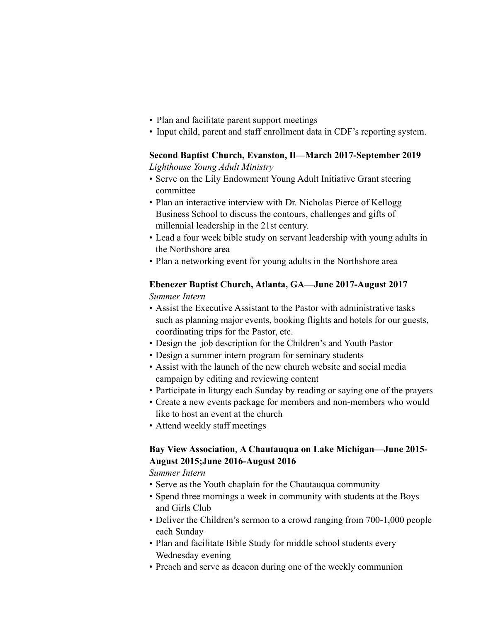- Plan and facilitate parent support meetings
- Input child, parent and staff enrollment data in CDF's reporting system.

# **Second Baptist Church, Evanston, Il—March 2017-September 2019**

*Lighthouse Young Adult Ministry* 

- Serve on the Lily Endowment Young Adult Initiative Grant steering committee
- Plan an interactive interview with Dr. Nicholas Pierce of Kellogg Business School to discuss the contours, challenges and gifts of millennial leadership in the 21st century.
- Lead a four week bible study on servant leadership with young adults in the Northshore area
- Plan a networking event for young adults in the Northshore area

# **Ebenezer Baptist Church, Atlanta, GA—June 2017-August 2017**  *Summer Intern*

- Assist the Executive Assistant to the Pastor with administrative tasks such as planning major events, booking flights and hotels for our guests, coordinating trips for the Pastor, etc.
- Design the job description for the Children's and Youth Pastor
- Design a summer intern program for seminary students
- Assist with the launch of the new church website and social media campaign by editing and reviewing content
- Participate in liturgy each Sunday by reading or saying one of the prayers
- Create a new events package for members and non-members who would like to host an event at the church
- Attend weekly staff meetings

# **Bay View Association**, **A Chautauqua on Lake Michigan—June 2015- August 2015;June 2016-August 2016**

*Summer Intern*

- Serve as the Youth chaplain for the Chautauqua community
- Spend three mornings a week in community with students at the Boys and Girls Club
- Deliver the Children's sermon to a crowd ranging from 700-1,000 people each Sunday
- Plan and facilitate Bible Study for middle school students every Wednesday evening
- Preach and serve as deacon during one of the weekly communion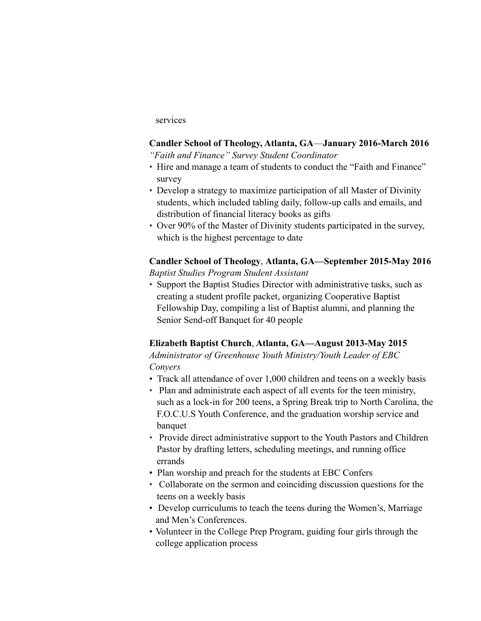#### services

# **Candler School of Theology, Atlanta, GA**—**January 2016-March 2016**

*"Faith and Finance" Survey Student Coordinator* 

- Hire and manage a team of students to conduct the "Faith and Finance" survey
- Develop a strategy to maximize participation of all Master of Divinity students, which included tabling daily, follow-up calls and emails, and distribution of financial literacy books as gifts
- Over 90% of the Master of Divinity students participated in the survey, which is the highest percentage to date

# **Candler School of Theology**, **Atlanta, GA—September 2015-May 2016** *Baptist Studies Program Student Assistant*

• Support the Baptist Studies Director with administrative tasks, such as creating a student profile packet, organizing Cooperative Baptist Fellowship Day, compiling a list of Baptist alumni, and planning the Senior Send-off Banquet for 40 people

# **Elizabeth Baptist Church**, **Atlanta, GA—August 2013-May 2015**

*Administrator of Greenhouse Youth Ministry/Youth Leader of EBC Conyers*

- Track all attendance of over 1,000 children and teens on a weekly basis
- Plan and administrate each aspect of all events for the teen ministry, such as a lock-in for 200 teens, a Spring Break trip to North Carolina, the F.O.C.U.S Youth Conference, and the graduation worship service and banquet
- Provide direct administrative support to the Youth Pastors and Children Pastor by drafting letters, scheduling meetings, and running office errands
- Plan worship and preach for the students at EBC Confers
- Collaborate on the sermon and coinciding discussion questions for the teens on a weekly basis
- Develop curriculums to teach the teens during the Women's, Marriage and Men's Conferences.
- Volunteer in the College Prep Program, guiding four girls through the college application process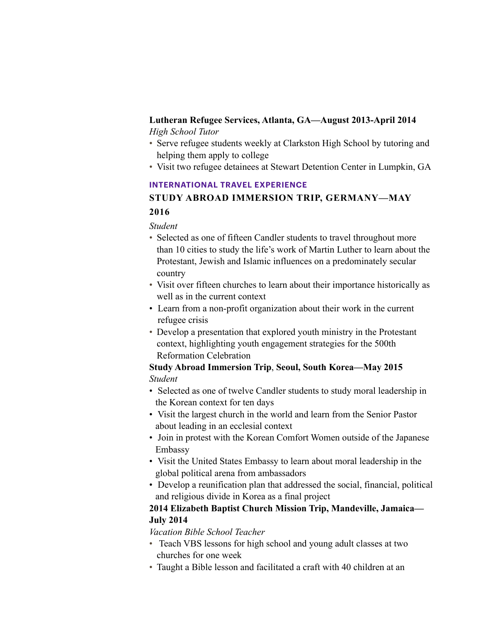#### **Lutheran Refugee Services, Atlanta, GA—August 2013-April 2014**  *High School Tutor*

- Serve refugee students weekly at Clarkston High School by tutoring and helping them apply to college
- Visit two refugee detainees at Stewart Detention Center in Lumpkin, GA

# **INTERNATIONAL TRAVEL EXPERIENCE**

# **STUDY ABROAD IMMERSION TRIP, GERMANY—MAY 2016**

# *Student*

- Selected as one of fifteen Candler students to travel throughout more than 10 cities to study the life's work of Martin Luther to learn about the Protestant, Jewish and Islamic influences on a predominately secular country
- Visit over fifteen churches to learn about their importance historically as well as in the current context
- Learn from a non-profit organization about their work in the current refugee crisis
- Develop a presentation that explored youth ministry in the Protestant context, highlighting youth engagement strategies for the 500th Reformation Celebration

# **Study Abroad Immersion Trip**, **Seoul, South Korea—May 2015** *Student*

- Selected as one of twelve Candler students to study moral leadership in the Korean context for ten days
- Visit the largest church in the world and learn from the Senior Pastor about leading in an ecclesial context
- Join in protest with the Korean Comfort Women outside of the Japanese Embassy
- Visit the United States Embassy to learn about moral leadership in the global political arena from ambassadors
- Develop a reunification plan that addressed the social, financial, political and religious divide in Korea as a final project

# **2014 Elizabeth Baptist Church Mission Trip, Mandeville, Jamaica— July 2014**

*Vacation Bible School Teacher* 

- Teach VBS lessons for high school and young adult classes at two churches for one week
- Taught a Bible lesson and facilitated a craft with 40 children at an